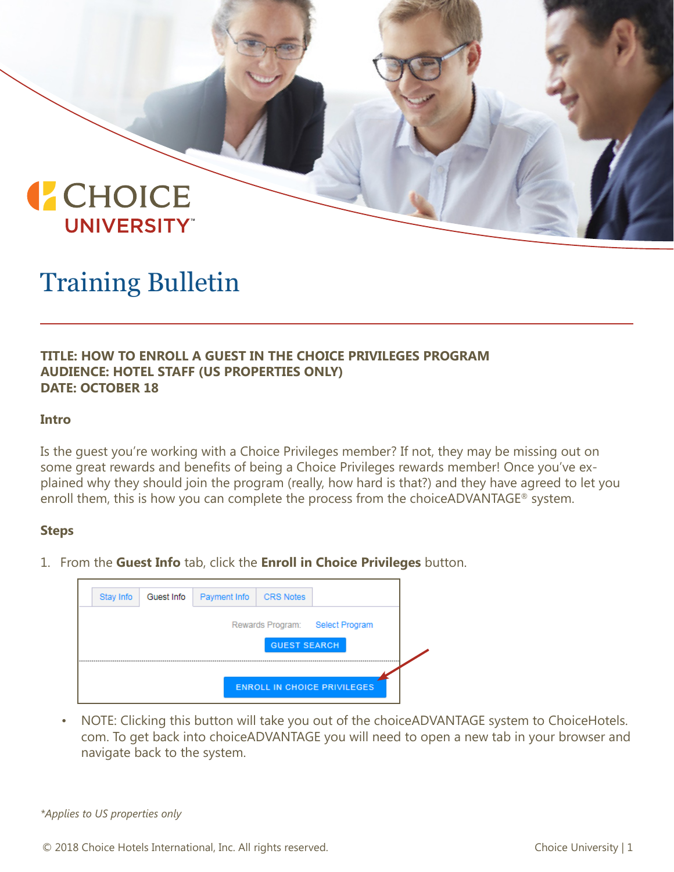

## Training Bulletin

## **TITLE: HOW TO ENROLL A GUEST IN THE CHOICE PRIVILEGES PROGRAM AUDIENCE: HOTEL STAFF (US PROPERTIES ONLY) DATE: OCTOBER 18**

#### **Intro**

Is the guest you're working with a Choice Privileges member? If not, they may be missing out on some great rewards and benefits of being a Choice Privileges rewards member! Once you've explained why they should join the program (really, how hard is that?) and they have agreed to let you enroll them, this is how you can complete the process from the choiceADVANTAGE<sup>®</sup> system.

#### **Steps**

1. From the **Guest Info** tab, click the **Enroll in Choice Privileges** button.

| Rewards Program: Select Program<br><b>GUEST SEARCH</b><br><b>ENROLL IN CHOICE PRIVILEGES</b> | Stay Info | Guest Info | Payment Info | <b>CRS Notes</b> |  |
|----------------------------------------------------------------------------------------------|-----------|------------|--------------|------------------|--|
|                                                                                              |           |            |              |                  |  |
|                                                                                              |           |            |              |                  |  |
|                                                                                              |           |            |              |                  |  |

• NOTE: Clicking this button will take you out of the choiceADVANTAGE system to ChoiceHotels. com. To get back into choiceADVANTAGE you will need to open a new tab in your browser and navigate back to the system.

*\*Applies to US properties only*

© 2018 Choice Hotels International, Inc. All rights reserved. Choice University | 1